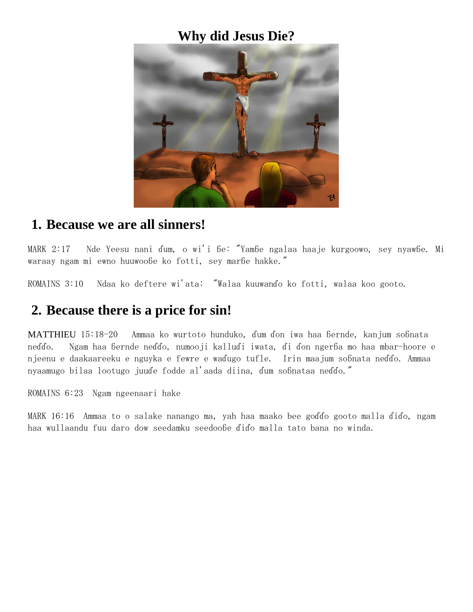# **Why did Jesus Die?**



### **1. Because we are all sinners!**

MARK 2:17 Nde Yeesu nani ɗum, o wi'i ɓe: "Yamɓe ngalaa haaje kurgoowo, sey nyawɓe. Mi waraay ngam mi ewno huuwooɓe ko fotti, sey marɓe hakke."

ROMAINS 3:10 Ndaa ko deftere wi'ata: "Walaa kuuwanɗo ko fotti, walaa koo gooto.

# **2. Because there is a price for sin!**

[MATTHIEU](http://jesusforafrica.net/fulfulde/BIB/MAT.xml) 15:18-20 Ammaa ko wurtoto hunduko, ɗum ɗon iwa haa ɓernde, kanjum soɓnata neɗɗo. Ngam haa ɓernde neɗɗo, numooji kalluɗi iwata, ɗi ɗon ngerɓa mo haa mbar-hoore e njeenu e daakaareeku e nguyka e fewre e waɗugo tufle. Irin maajum soɓnata neɗɗo. Ammaa nyaamugo bilaa lootugo juuɗe fodde al'aada diina, ɗum soɓnataa neɗɗo."

ROMAINS 6:23 Ngam ngeenaari hake

MARK 16:16 Ammaa to o salake nanango ma, yah haa maako bee goɗɗo gooto malla ɗiɗo, ngam haa wullaandu fuu daro dow seedamku seedooɓe ɗiɗo malla tato bana no winda.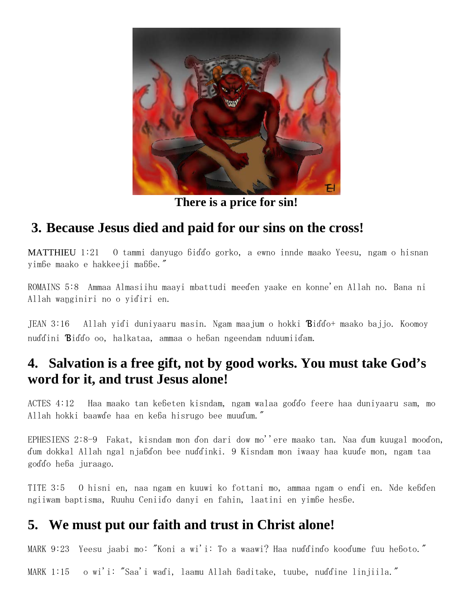

**There is a price for sin!**

# **3. Because Jesus died and paid for our sins on the cross!**

[MATTHIEU](http://jesusforafrica.net/fulfulde/BIB/MAT.xml) 1:21 O tammi danyugo ɓiɗɗo gorko, a ewno innde maako Yeesu, ngam o hisnan yimɓe maako e hakkeeji maɓɓe."

ROMAINS 5:8 Ammaa Almasiihu maayi mbattudi meeɗen yaake en konne'en Allah no. Bana ni Allah waŋginiri no o yiɗiri en.

JEAN 3:16 Allah yiɗi duniyaaru masin. Ngam maajum o hokki Ɓiɗɗo+ maako bajjo. Koomoy nuɗɗini Ɓiɗɗo oo, halkataa, ammaa o heɓan ngeendam nduumiiɗam.

# **4. Salvation is a free gift, not by good works. You must take God's word for it, and trust Jesus alone!**

ACTES 4:12 Haa maako tan keɓeten kisndam, ngam walaa goɗɗo feere haa duniyaaru sam, mo Allah hokki baawɗe haa en keɓa hisrugo bee muuɗum."

[EPHESIENS](http://jesusforafrica.net/fulfulde/BIB/EPH.xml) 2:8-9 Fakat, kisndam mon ɗon dari dow mo''ere maako tan. Naa ɗum kuugal mooɗon, ɗum dokkal Allah ngal njaɓɗon bee nuɗɗinki. 9 Kisndam mon iwaay haa kuuɗe mon, ngam taa goɗɗo heɓa juraago.

TITE 3:5 O hisni en, naa ngam en kuuwi ko fottani mo, ammaa ngam o enɗi en. Nde keɓɗen ngiiwam baptisma, Ruuhu Ceniiɗo danyi en fahin, laatini en yimɓe hesɓe.

# **5. We must put our faith and trust in Christ alone!**

MARK 9:23 Yeesu jaabi mo: "Koni a wi'i: To a waawi? Haa nuɗɗinɗo kooɗume fuu heɓoto."

MARK 1:15 o wi'i: "Saa'i waɗi, laamu Allah ɓaditake, tuube, nuɗɗine linjiila."